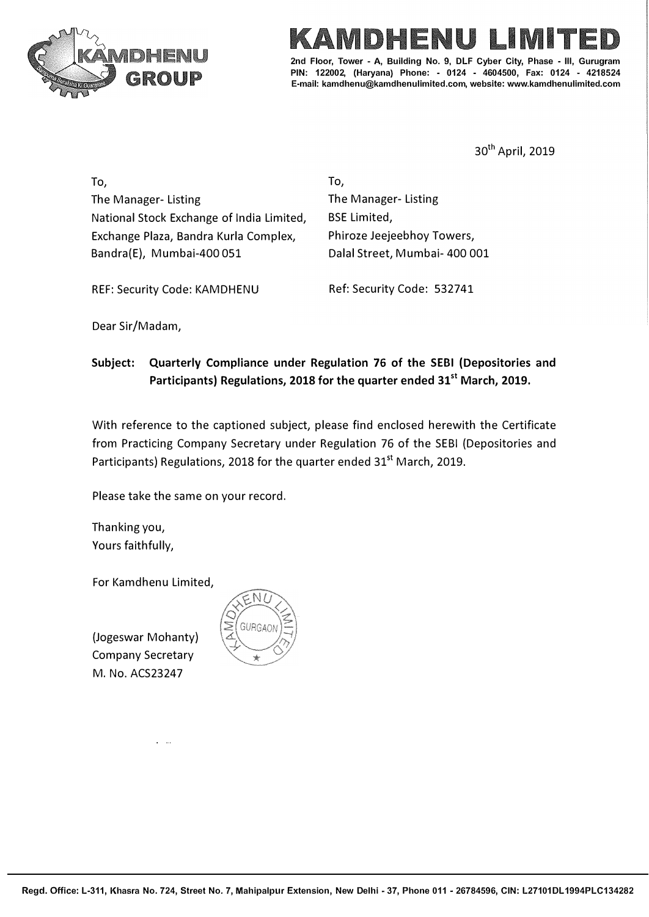

# E ME

**2nd Floor, Tower - A, Building No. 9, DLF Cyber City, Phase - Ill, Gurugram PIN: 122002, (Haryana) Phone: - 0124 - 4604500, Fax: 0124 - 4218524 E-mail: kamdhenu@kamdhenulimited.com, website: www.kamdhenulimited.com** 

30th April, 2019

To, The Manager- Listing National Stock Exchange of India Limited, Exchange Plaza, Sandra Kurla Complex, Bandra(E), Mumbai-400 051

To, The Manager- Listing BSE Limited, Phiroze Jeejeebhoy Towers, Dalal Street, Mumbai- 400 001

REF: Security Code: KAMDHENU Ref: Security Code: 532741

Dear Sir/Madam,

**Subject: Quarterly Compliance under Regulation 76 of the SEBI (Depositories and Participants) Regulations, 2018 for the quarter ended 31st March, 2019.** 

With reference to the captioned subject, please find enclosed herewith the Certificate from Practicing Company Secretary under Regulation 76 of the SEBI (Depositories and Participants) Regulations, 2018 for the quarter ended 31<sup>st</sup> March, 2019.

Please take the same on your record.

Thanking you, Yours faithfully,

For Kamdhenu Limited,

(Jogeswar Mohanty) Company Secretary M. No. ACS23247

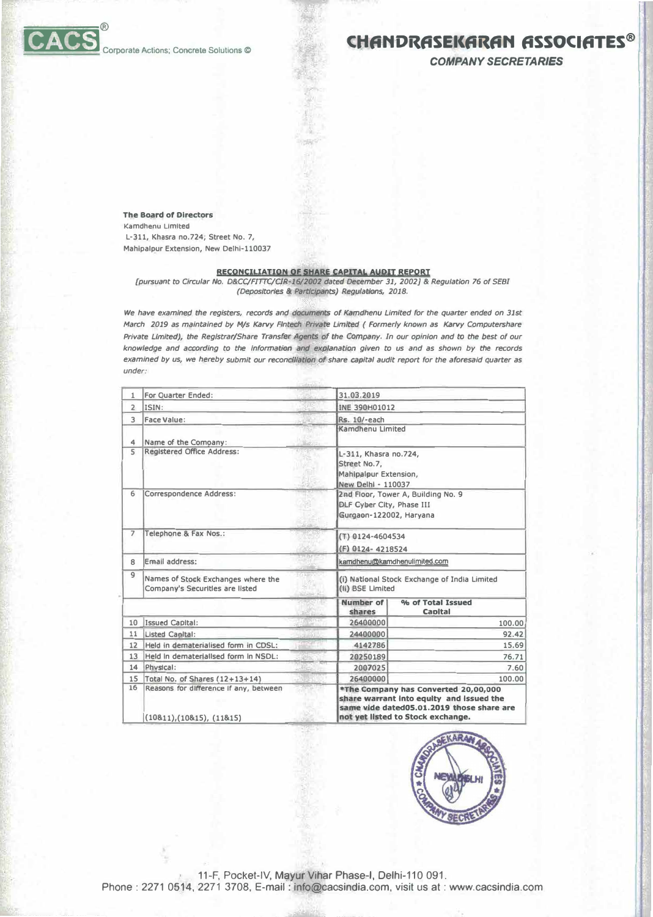### Corporate Actions: Concrete Solutions @

## **CHANDRASEKARAN ASSOCIATES®**

**COMPANY SECRETARIES** 

**The Board of Directors** Kamdhenu Limited

L-311, Khasra no.724, Street No. 7, Mahipalpur Extension, New Delhi-110037

#### **RECONCILIATION OF SHARE CAPITAL AUDIT REPORT**

[pursuant to Circular No. D&CC/FITTC/CIR-16/2002 dated December 31, 2002] & Regulation 76 of SEBI (Depositories & Participants) Regulations, 2018.

We have examined the registers, records and documents of Kamdhenu Limited for the quarter ended on 31st March 2019 as maintained by M/s Karvy Fintech Private Limited ( Formerly known as Karvy Computershare Private Limited), the Registrar/Share Transfer Agents of the Company. In our opinion and to the best of our knowledge and according to the information and explanation given to us and as shown by the records examined by us, we hereby submit our reconciliation of share capital audit report for the aforesaid quarter as under:

| 1              | For Ouarter Ended:                                                    | 31,03.2019          |                                                                                                                                                                    |  |  |
|----------------|-----------------------------------------------------------------------|---------------------|--------------------------------------------------------------------------------------------------------------------------------------------------------------------|--|--|
| $\overline{2}$ | ISIN:                                                                 |                     | INE 390H01012                                                                                                                                                      |  |  |
| $\mathcal{L}$  | <b>Face Value:</b>                                                    | Rs. 10/-each        |                                                                                                                                                                    |  |  |
| 4              | Name of the Comoany:                                                  | Kamdhenu Limited    |                                                                                                                                                                    |  |  |
| 5              | Registered Office Address:                                            | Street No.7,        | L-311, Khasra no.724,<br>Mahipalpur Extension,<br>New Delhi - 110037                                                                                               |  |  |
| 6              | Correspondence Address:                                               |                     | 2nd Floor, Tower A, Building No. 9<br>DLF Cyber City, Phase III<br>Gurgaon-122002, Haryana                                                                         |  |  |
| $\overline{z}$ | Telephone & Fax Nos.:                                                 |                     | (T) 0124-4604534<br>(F) 0124-4218524                                                                                                                               |  |  |
| 8              | 的复数<br>Email address:                                                 |                     | kamdhenu@kamdhenulimited.com                                                                                                                                       |  |  |
| $\overline{9}$ | Names of Stock Exchanges where the<br>Company's Securities are listed |                     | (i) National Stock Exchange of India Limited<br>(ii) BSE Limited                                                                                                   |  |  |
|                |                                                                       | Number of<br>shares | % of Total Issued<br><b>Capital</b>                                                                                                                                |  |  |
| 10             | Issued Capital:                                                       | 26400000            | 100.00                                                                                                                                                             |  |  |
| 11             | Listed Capital:                                                       | 24400000            | 92.42                                                                                                                                                              |  |  |
| 12             | Held in dematerialised form in CDSL:                                  | 4142786             | 15.69                                                                                                                                                              |  |  |
| 13             | Held in dematerialised form in NSDL:                                  | 20250189            | 76.71                                                                                                                                                              |  |  |
| 14             | Physical:                                                             | 2007025             | 7.60                                                                                                                                                               |  |  |
| 15             | Total No. of Shares (12+13+14)                                        | 26400000            | 100.00                                                                                                                                                             |  |  |
| 16             | Reasons for difference if any, between<br>(10811), (10815), (11815)   |                     | *The Company has Converted 20,00,000<br>share warrant into equity and issued the<br>same vide dated05.01.2019 those share are<br>not yet listed to Stock exchange. |  |  |



11-F, Pocket-IV, Mayur Vihar Phase-I, Delhi-110 091. Phone: 2271 0514, 2271 3708, E-mail: info@cacsindia.com, visit us at: www.cacsindia.com